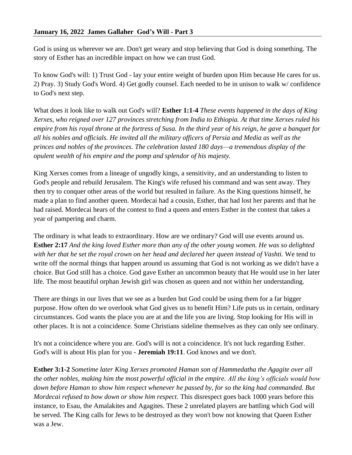God is using us wherever we are. Don't get weary and stop believing that God is doing something. The story of Esther has an incredible impact on how we can trust God.

To know God's will: 1) Trust God - lay your entire weight of burden upon Him because He cares for us. 2) Pray. 3) Study God's Word. 4) Get godly counsel. Each needed to be in unison to walk w/ confidence to God's next step.

What does it look like to walk out God's will? **Esther 1:1-4** *These events happened in the days of King Xerxes, who reigned over 127 provinces stretching from India to Ethiopia. At that time Xerxes ruled his empire from his royal throne at the fortress of Susa. In the third year of his reign, he gave a banquet for all his nobles and officials. He invited all the military officers of Persia and Media as well as the princes and nobles of the provinces. The celebration lasted 180 days—a tremendous display of the opulent wealth of his empire and the pomp and splendor of his majesty.*

King Xerxes comes from a lineage of ungodly kings, a sensitivity, and an understanding to listen to God's people and rebuild Jerusalem. The King's wife refused his command and was sent away. They then try to conquer other areas of the world but resulted in failure. As the King questions himself, he made a plan to find another queen. Mordecai had a cousin, Esther, that had lost her parents and that he had raised. Mordecai hears of the contest to find a queen and enters Esther in the contest that takes a year of pampering and charm.

The ordinary is what leads to extraordinary. How are we ordinary? God will use events around us. **Esther 2:17** *And the king loved Esther more than any of the other young women. He was so delighted with her that he set the royal crown on her head and declared her queen instead of Vashti.* We tend to write off the normal things that happen around us assuming that God is not working as we didn't have a choice. But God still has a choice. God gave Esther an uncommon beauty that He would use in her later life. The most beautiful orphan Jewish girl was chosen as queen and not within her understanding.

There are things in our lives that we see as a burden but God could be using them for a far bigger purpose. How often do we overlook what God gives us to benefit Him? Life puts us in certain, ordinary circumstances. God wants the place you are at and the life you are living. Stop looking for His will in other places. It is not a coincidence. Some Christians sideline themselves as they can only see ordinary.

It's not a coincidence where you are. God's will is not a coincidence. It's not luck regarding Esther. God's will is about His plan for you - **Jeremiah 19:11**. God knows and we don't.

**Esther 3:1-2** *Sometime later King Xerxes promoted Haman son of Hammedatha the Agagite over all the other nobles, making him the most powerful official in the empire. All the king's officials would bow down before Haman to show him respect whenever he passed by, for so the king had commanded. But Mordecai refused to bow down or show him respect.* This disrespect goes back 1000 years before this instance, to Esau, the Amalakites and Agagites. These 2 unrelated players are battling which God will be served. The King calls for Jews to be destroyed as they won't bow not knowing that Queen Esther was a Jew.